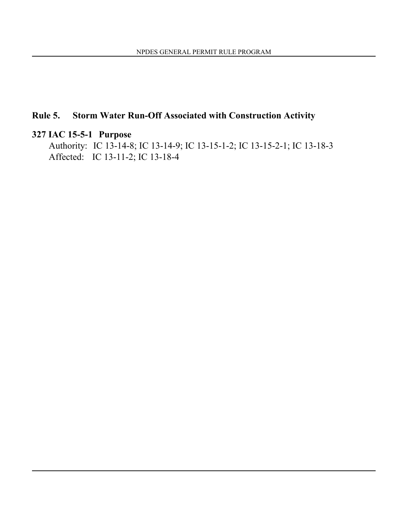# **Rule 5. Storm Water Run-Off Associated with Construction Activity**

# **327 IAC 15-5-1 Purpose**

Authority: IC 13-14-8; IC 13-14-9; IC 13-15-1-2; IC 13-15-2-1; IC 13-18-3 Affected: IC 13-11-2; IC 13-18-4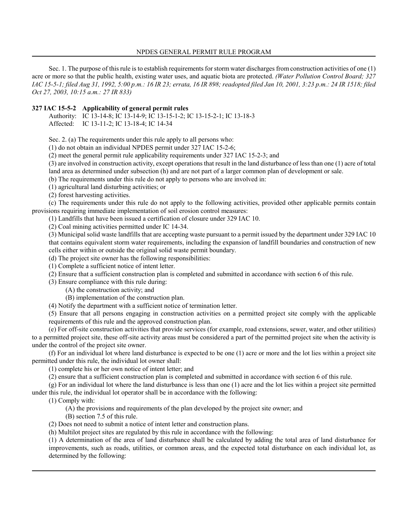Sec. 1. The purpose of this rule is to establish requirements for storm water discharges from construction activities of one (1) acre or more so that the public health, existing water uses, and aquatic biota are protected. *(Water Pollution Control Board; 327 IAC 15-5-1; filed Aug 31, 1992, 5:00 p.m.: 16 IR 23; errata, 16 IR 898; readopted filed Jan 10, 2001, 3:23 p.m.: 24 IR 1518; filed Oct 27, 2003, 10:15 a.m.: 27 IR 833)*

## **327 IAC 15-5-2 Applicability of general permit rules**

Authority: IC 13-14-8; IC 13-14-9; IC 13-15-1-2; IC 13-15-2-1; IC 13-18-3 Affected: IC 13-11-2; IC 13-18-4; IC 14-34

Sec. 2. (a) The requirements under this rule apply to all persons who:

(1) do not obtain an individual NPDES permit under 327 IAC 15-2-6;

(2) meet the general permit rule applicability requirements under 327 IAC 15-2-3; and

(3) are involved in construction activity, except operations that result in the land disturbance of less than one (1) acre of total land area as determined under subsection (h) and are not part of a larger common plan of development or sale.

(b) The requirements under this rule do not apply to persons who are involved in:

(1) agricultural land disturbing activities; or

(2) forest harvesting activities.

(c) The requirements under this rule do not apply to the following activities, provided other applicable permits contain provisions requiring immediate implementation of soil erosion control measures:

(1) Landfills that have been issued a certification of closure under 329 IAC 10.

(2) Coal mining activities permitted under IC 14-34.

(3) Municipal solid waste landfills that are accepting waste pursuant to a permit issued by the department under 329 IAC 10 that contains equivalent storm water requirements, including the expansion of landfill boundaries and construction of new cells either within or outside the original solid waste permit boundary.

(d) The project site owner has the following responsibilities:

(1) Complete a sufficient notice of intent letter.

(2) Ensure that a sufficient construction plan is completed and submitted in accordance with section 6 of this rule.

(3) Ensure compliance with this rule during:

(A) the construction activity; and

(B) implementation of the construction plan.

(4) Notify the department with a sufficient notice of termination letter.

(5) Ensure that all persons engaging in construction activities on a permitted project site comply with the applicable requirements of this rule and the approved construction plan.

(e) For off-site construction activities that provide services (for example, road extensions, sewer, water, and other utilities) to a permitted project site, these off-site activity areas must be considered a part of the permitted project site when the activity is under the control of the project site owner.

(f) For an individual lot where land disturbance is expected to be one (1) acre or more and the lot lies within a project site permitted under this rule, the individual lot owner shall:

(1) complete his or her own notice of intent letter; and

(2) ensure that a sufficient construction plan is completed and submitted in accordance with section 6 of this rule.

(g) For an individual lot where the land disturbance is less than one (1) acre and the lot lies within a project site permitted under this rule, the individual lot operator shall be in accordance with the following:

(1) Comply with:

(A) the provisions and requirements of the plan developed by the project site owner; and

(B) section 7.5 of this rule.

(2) Does not need to submit a notice of intent letter and construction plans.

(h) Multilot project sites are regulated by this rule in accordance with the following:

(1) A determination of the area of land disturbance shall be calculated by adding the total area of land disturbance for improvements, such as roads, utilities, or common areas, and the expected total disturbance on each individual lot, as determined by the following: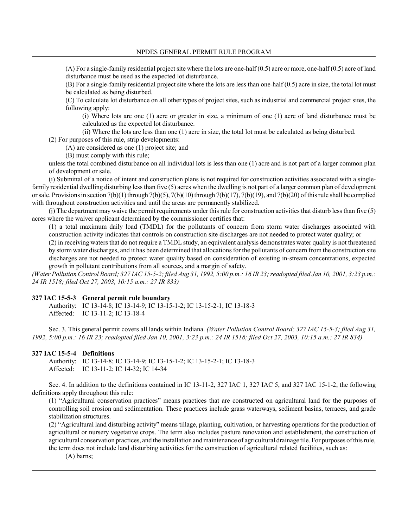(A) For a single-family residential project site where the lots are one-half (0.5) acre or more, one-half (0.5) acre of land disturbance must be used as the expected lot disturbance.

(B) For a single-family residential project site where the lots are less than one-half (0.5) acre in size, the total lot must be calculated as being disturbed.

(C) To calculate lot disturbance on all other types of project sites, such as industrial and commercial project sites, the following apply:

(i) Where lots are one (1) acre or greater in size, a minimum of one (1) acre of land disturbance must be calculated as the expected lot disturbance.

(ii) Where the lots are less than one (1) acre in size, the total lot must be calculated as being disturbed.

(2) For purposes of this rule, strip developments:

(A) are considered as one (1) project site; and

(B) must comply with this rule;

unless the total combined disturbance on all individual lots is less than one (1) acre and is not part of a larger common plan of development or sale.

(i) Submittal of a notice of intent and construction plans is not required for construction activities associated with a singlefamily residential dwelling disturbing less than five (5) acres when the dwelling is not part of a larger common plan of development or sale. Provisions in section 7(b)(1) through 7(b)(5), 7(b)(10) through 7(b)(17), 7(b)(19), and 7(b)(20) of this rule shall be complied with throughout construction activities and until the areas are permanently stabilized.

(j) The department may waive the permit requirements under this rule for construction activities that disturb less than five (5) acres where the waiver applicant determined by the commissioner certifies that:

(1) a total maximum daily load (TMDL) for the pollutants of concern from storm water discharges associated with construction activity indicates that controls on construction site discharges are not needed to protect water quality; or

(2) in receiving waters that do not require a TMDL study, an equivalent analysis demonstrates water quality is not threatened by storm water discharges, and it has been determined that allocations for the pollutants of concern from the construction site discharges are not needed to protect water quality based on consideration of existing in-stream concentrations, expected growth in pollutant contributions from all sources, and a margin of safety.

*(Water Pollution Control Board; 327 IAC 15-5-2; filed Aug 31, 1992, 5:00 p.m.: 16 IR 23; readopted filed Jan 10, 2001, 3:23 p.m.: 24 IR 1518; filed Oct 27, 2003, 10:15 a.m.: 27 IR 833)*

#### **327 IAC 15-5-3 General permit rule boundary**

Authority: IC 13-14-8; IC 13-14-9; IC 13-15-1-2; IC 13-15-2-1; IC 13-18-3 Affected: IC 13-11-2; IC 13-18-4

Sec. 3. This general permit covers all lands within Indiana. *(Water Pollution Control Board; 327 IAC 15-5-3; filed Aug 31, 1992, 5:00 p.m.: 16 IR 23; readopted filed Jan 10, 2001, 3:23 p.m.: 24 IR 1518; filed Oct 27, 2003, 10:15 a.m.: 27 IR 834)*

#### **327 IAC 15-5-4 Definitions**

Authority: IC 13-14-8; IC 13-14-9; IC 13-15-1-2; IC 13-15-2-1; IC 13-18-3 Affected: IC 13-11-2; IC 14-32; IC 14-34

Sec. 4. In addition to the definitions contained in IC 13-11-2, 327 IAC 1, 327 IAC 5, and 327 IAC 15-1-2, the following definitions apply throughout this rule:

(1) "Agricultural conservation practices" means practices that are constructed on agricultural land for the purposes of controlling soil erosion and sedimentation. These practices include grass waterways, sediment basins, terraces, and grade stabilization structures.

(2) "Agricultural land disturbing activity" means tillage, planting, cultivation, or harvesting operations for the production of agricultural or nursery vegetative crops. The term also includes pasture renovation and establishment, the construction of agricultural conservation practices, and the installation and maintenance of agricultural drainage tile. For purposes of this rule, the term does not include land disturbing activities for the construction of agricultural related facilities, such as:

(A) barns;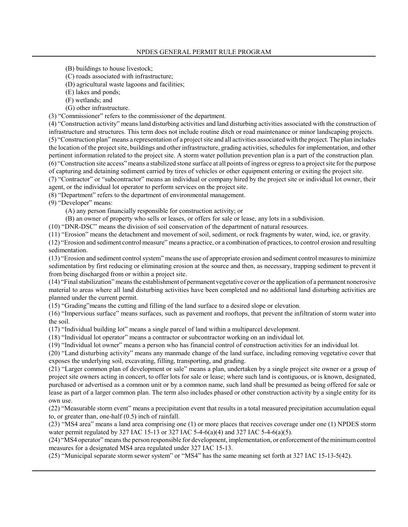- (B) buildings to house livestock;
- (C) roads associated with infrastructure;
- (D) agricultural waste lagoons and facilities;
- (E) lakes and ponds;
- (F) wetlands; and
- (G) other infrastructure.
- (3) "Commissioner" refers to the commissioner of the department.

(4) "Construction activity" means land disturbing activities and land disturbing activities associated with the construction of infrastructure and structures. This term does not include routine ditch or road maintenance or minor landscaping projects. (5) ìConstruction planî means a representation of a project site and all activities associated with the project. The plan includes the location of the project site, buildings and other infrastructure, grading activities, schedules for implementation, and other pertinent information related to the project site. A storm water pollution prevention plan is a part of the construction plan. (6) ìConstruction site accessî means a stabilized stone surface at all points of ingress or egress to a project site for the purpose of capturing and detaining sediment carried by tires of vehicles or other equipment entering or exiting the project site.

(7) "Contractor" or "subcontractor" means an individual or company hired by the project site or individual lot owner, their agent, or the individual lot operator to perform services on the project site.

(8) "Department" refers to the department of environmental management.

 $(9)$  "Developer" means:

(A) any person financially responsible for construction activity; or

(B) an owner of property who sells or leases, or offers for sale or lease, any lots in a subdivision.

(10) ìDNR-DSCî means the division of soil conservation of the department of natural resources.

(11) "Erosion" means the detachment and movement of soil, sediment, or rock fragments by water, wind, ice, or gravity.

 $(12)$  "Erosion and sediment control measure" means a practice, or a combination of practices, to control erosion and resulting sedimentation.

 $(13)$  "Erosion and sediment control system" means the use of appropriate erosion and sediment control measures to minimize sedimentation by first reducing or eliminating erosion at the source and then, as necessary, trapping sediment to prevent it from being discharged from or within a project site.

 $(14)$  "Final stabilization" means the establishment of permanent vegetative cover or the application of a permanent nonerosive material to areas where all land disturbing activities have been completed and no additional land disturbing activities are planned under the current permit.

(15) ìGradingîmeans the cutting and filling of the land surface to a desired slope or elevation.

(16) ìImpervious surfaceî means surfaces, such as pavement and rooftops, that prevent the infiltration of storm water into the soil.

 $(17)$  "Individual building lot" means a single parcel of land within a multiparcel development.

 $(18)$  "Individual lot operator" means a contractor or subcontractor working on an individual lot.

 $(19)$  "Individual lot owner" means a person who has financial control of construction activities for an individual lot.

(20) "Land disturbing activity" means any manmade change of the land surface, including removing vegetative cover that exposes the underlying soil, excavating, filling, transporting, and grading.

(21) "Larger common plan of development or sale" means a plan, undertaken by a single project site owner or a group of project site owners acting in concert, to offer lots for sale or lease; where such land is contiguous, or is known, designated, purchased or advertised as a common unit or by a common name, such land shall be presumed as being offered for sale or lease as part of a larger common plan. The term also includes phased or other construction activity by a single entity for its own use.

 $(22)$  "Measurable storm event" means a precipitation event that results in a total measured precipitation accumulation equal to, or greater than, one-half (0.5) inch of rainfall.

 $(23)$  "MS4 area" means a land area comprising one  $(1)$  or more places that receives coverage under one  $(1)$  NPDES storm water permit regulated by 327 IAC 15-13 or 327 IAC 5-4-6(a)(4) and 327 IAC 5-4-6(a)(5).

(24) "MS4 operator" means the person responsible for development, implementation, or enforcement of the minimum control measures for a designated MS4 area regulated under 327 IAC 15-13.

 $(25)$  "Municipal separate storm sewer system" or "MS4" has the same meaning set forth at 327 IAC 15-13-5(42).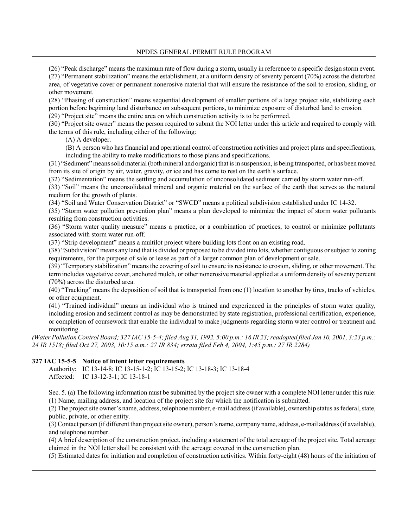$(26)$  "Peak discharge" means the maximum rate of flow during a storm, usually in reference to a specific design storm event.

 $(27)$  "Permanent stabilization" means the establishment, at a uniform density of seventy percent  $(70%)$  across the disturbed area, of vegetative cover or permanent nonerosive material that will ensure the resistance of the soil to erosion, sliding, or other movement.

(28) "Phasing of construction" means sequential development of smaller portions of a large project site, stabilizing each portion before beginning land disturbance on subsequent portions, to minimize exposure of disturbed land to erosion.

 $(29)$  "Project site" means the entire area on which construction activity is to be performed.

(30) "Project site owner" means the person required to submit the NOI letter under this article and required to comply with the terms of this rule, including either of the following:

(A) A developer.

(B) A person who has financial and operational control of construction activities and project plans and specifications, including the ability to make modifications to those plans and specifications.

(31) "Sediment" means solid material (both mineral and organic) that is in suspension, is being transported, or has been moved from its site of origin by air, water, gravity, or ice and has come to rest on the earth's surface.

(32) "Sedimentation" means the settling and accumulation of unconsolidated sediment carried by storm water run-off.

(33) "Soil" means the unconsolidated mineral and organic material on the surface of the earth that serves as the natural medium for the growth of plants.

(34) "Soil and Water Conservation District" or "SWCD" means a political subdivision established under IC 14-32.

(35) "Storm water pollution prevention plan" means a plan developed to minimize the impact of storm water pollutants resulting from construction activities.

(36) "Storm water quality measure" means a practice, or a combination of practices, to control or minimize pollutants associated with storm water run-off.

(37) "Strip development" means a multilot project where building lots front on an existing road.

(38) "Subdivision" means any land that is divided or proposed to be divided into lots, whether contiguous or subject to zoning requirements, for the purpose of sale or lease as part of a larger common plan of development or sale.

(39) "Temporary stabilization" means the covering of soil to ensure its resistance to erosion, sliding, or other movement. The term includes vegetative cover, anchored mulch, or other nonerosive material applied at a uniform density of seventy percent (70%) across the disturbed area.

 $(40)$  "Tracking" means the deposition of soil that is transported from one  $(1)$  location to another by tires, tracks of vehicles, or other equipment.

 $(41)$  "Trained individual" means an individual who is trained and experienced in the principles of storm water quality, including erosion and sediment control as may be demonstrated by state registration, professional certification, experience, or completion of coursework that enable the individual to make judgments regarding storm water control or treatment and monitoring.

*(Water Pollution Control Board; 327 IAC 15-5-4; filed Aug 31, 1992, 5:00 p.m.: 16 IR 23; readopted filed Jan 10, 2001, 3:23 p.m.: 24 IR 1518; filed Oct 27, 2003, 10:15 a.m.: 27 IR 834; errata filed Feb 4, 2004, 1:45 p.m.: 27 IR 2284)*

# **327 IAC 15-5-5 Notice of intent letter requirements**

Authority: IC 13-14-8; IC 13-15-1-2; IC 13-15-2; IC 13-18-3; IC 13-18-4 Affected: IC 13-12-3-1; IC 13-18-1

Sec. 5. (a) The following information must be submitted by the project site owner with a complete NOI letter under this rule: (1) Name, mailing address, and location of the project site for which the notification is submitted.

(2) The project site ownerís name, address, telephone number, e-mail address (if available), ownership status as federal, state, public, private, or other entity.

(3) Contact person (if different than project site owner), person's name, company name, address, e-mail address (if available), and telephone number.

(4) A brief description of the construction project, including a statement of the total acreage of the project site. Total acreage claimed in the NOI letter shall be consistent with the acreage covered in the construction plan.

(5) Estimated dates for initiation and completion of construction activities. Within forty-eight (48) hours of the initiation of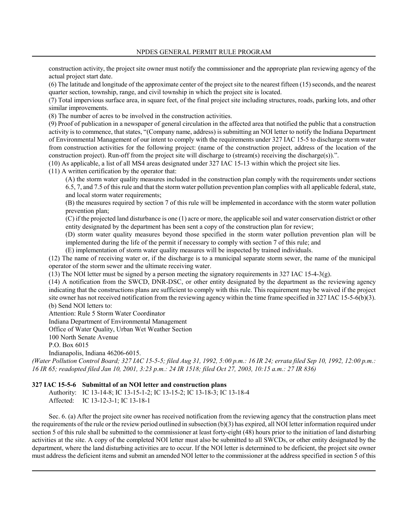construction activity, the project site owner must notify the commissioner and the appropriate plan reviewing agency of the actual project start date.

(6) The latitude and longitude of the approximate center of the project site to the nearest fifteen (15) seconds, and the nearest quarter section, township, range, and civil township in which the project site is located.

(7) Total impervious surface area, in square feet, of the final project site including structures, roads, parking lots, and other similar improvements.

(8) The number of acres to be involved in the construction activities.

(9) Proof of publication in a newspaper of general circulation in the affected area that notified the public that a construction activity is to commence, that states, "(Company name, address) is submitting an NOI letter to notify the Indiana Department of Environmental Management of our intent to comply with the requirements under 327 IAC 15-5 to discharge storm water from construction activities for the following project: (name of the construction project, address of the location of the construction project). Run-off from the project site will discharge to (stream(s) receiving the discharge(s))."

(10) As applicable, a list of all MS4 areas designated under 327 IAC 15-13 within which the project site lies.

(11) A written certification by the operator that:

(A) the storm water quality measures included in the construction plan comply with the requirements under sections 6.5, 7, and 7.5 of this rule and that the storm water pollution prevention plan complies with all applicable federal, state, and local storm water requirements;

(B) the measures required by section 7 of this rule will be implemented in accordance with the storm water pollution prevention plan;

(C) if the projected land disturbance is one (1) acre or more, the applicable soil and water conservation district or other entity designated by the department has been sent a copy of the construction plan for review;

(D) storm water quality measures beyond those specified in the storm water pollution prevention plan will be implemented during the life of the permit if necessary to comply with section 7 of this rule; and

(E) implementation of storm water quality measures will be inspected by trained individuals.

(12) The name of receiving water or, if the discharge is to a municipal separate storm sewer, the name of the municipal operator of the storm sewer and the ultimate receiving water.

(13) The NOI letter must be signed by a person meeting the signatory requirements in 327 IAC 15-4-3(g).

(14) A notification from the SWCD, DNR-DSC, or other entity designated by the department as the reviewing agency indicating that the constructions plans are sufficient to comply with this rule. This requirement may be waived if the project site owner has not received notification from the reviewing agency within the time frame specified in 327 IAC 15-5-6(b)(3). (b) Send NOI letters to:

Attention: Rule 5 Storm Water Coordinator

Indiana Department of Environmental Management

Office of Water Quality, Urban Wet Weather Section

100 North Senate Avenue

P.O. Box 6015

Indianapolis, Indiana 46206-6015.

*(Water Pollution Control Board; 327 IAC 15-5-5; filed Aug 31, 1992, 5:00 p.m.: 16 IR 24; errata filed Sep 10, 1992, 12:00 p.m.: 16 IR 65; readopted filed Jan 10, 2001, 3:23 p.m.: 24 IR 1518; filed Oct 27, 2003, 10:15 a.m.: 27 IR 836)*

#### **327 IAC 15-5-6 Submittal of an NOI letter and construction plans**

Authority: IC 13-14-8; IC 13-15-1-2; IC 13-15-2; IC 13-18-3; IC 13-18-4 Affected: IC 13-12-3-1; IC 13-18-1

Sec. 6. (a) After the project site owner has received notification from the reviewing agency that the construction plans meet the requirements of the rule or the review period outlined in subsection (b)(3) has expired, all NOI letter information required under section 5 of this rule shall be submitted to the commissioner at least forty-eight (48) hours prior to the initiation of land disturbing activities at the site. A copy of the completed NOI letter must also be submitted to all SWCDs, or other entity designated by the department, where the land disturbing activities are to occur. If the NOI letter is determined to be deficient, the project site owner must address the deficient items and submit an amended NOI letter to the commissioner at the address specified in section 5 of this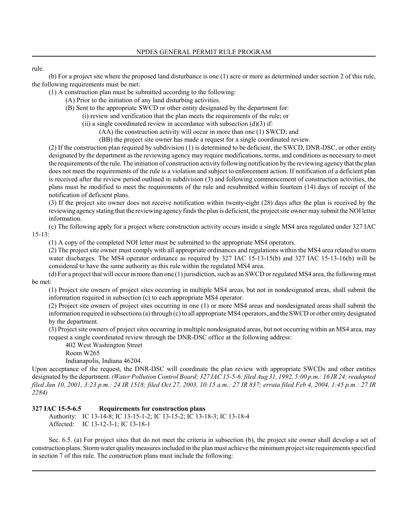# rule.

(b) For a project site where the proposed land disturbance is one (1) acre or more as determined under section 2 of this rule, the following requirements must be met:

(1) A construction plan must be submitted according to the following:

(A) Prior to the initiation of any land disturbing activities.

(B) Sent to the appropriate SWCD or other entity designated by the department for:

(i) review and verification that the plan meets the requirements of the rule; or

(ii) a single coordinated review in accordance with subsection  $(d)(3)$  if:

(AA) the construction activity will occur in more than one (1) SWCD; and

(BB) the project site owner has made a request for a single coordinated review.

(2) If the construction plan required by subdivision (1) is determined to be deficient, the SWCD, DNR-DSC, or other entity designated by the department as the reviewing agency may require modifications, terms, and conditions as necessary to meet the requirements of the rule. The initiation of construction activity following notification by the reviewing agency that the plan does not meet the requirements of the rule is a violation and subject to enforcement action. If notification of a deficient plan is received after the review period outlined in subdivision (3) and following commencement of construction activities, the plans must be modified to meet the requirements of the rule and resubmitted within fourteen (14) days of receipt of the notification of deficient plans.

(3) If the project site owner does not receive notification within twenty-eight (28) days after the plan is received by the reviewing agency stating that the reviewing agency finds the plan is deficient, the project site owner may submit the NOI letter information.

(c) The following apply for a project where construction activity occurs inside a single MS4 area regulated under 327 IAC 15-13:

(1) A copy of the completed NOI letter must be submitted to the appropriate MS4 operators.

(2) The project site owner must comply with all appropriate ordinances and regulations within the MS4 area related to storm water discharges. The MS4 operator ordinance as required by 327 IAC 15-13-15(b) and 327 IAC 15-13-16(b) will be considered to have the same authority as this rule within the regulated MS4 area.

(d) For a project that will occur in more than one (1) jurisdiction, such as an SWCD or regulated MS4 area, the following must be met:

(1) Project site owners of project sites occurring in multiple MS4 areas, but not in nondesignated areas, shall submit the information required in subsection (c) to each appropriate MS4 operator.

(2) Project site owners of project sites occurring in one (1) or more MS4 areas and nondesignated areas shall submit the information required in subsections (a) through (c) to all appropriate MS4 operators, and the SWCD or other entity designated by the department.

(3) Project site owners of project sites occurring in multiple nondesignated areas, but not occurring within an MS4 area, may request a single coordinated review through the DNR-DSC office at the following address:

402 West Washington Street

Room W265

Indianapolis, Indiana 46204.

Upon acceptance of the request, the DNR-DSC will coordinate the plan review with appropriate SWCDs and other entities designated by the department. *(Water Pollution Control Board; 327 IAC 15-5-6; filed Aug 31, 1992, 5:00 p.m.: 16 IR 24; readopted filed Jan 10, 2001, 3:23 p.m.: 24 IR 1518; filed Oct 27, 2003, 10:15 a.m.: 27 IR 837; errata filed Feb 4, 2004, 1:45 p.m.: 27 IR 2284)*

# **327 IAC 15-5-6.5 Requirements for construction plans**

Authority: IC 13-14-8; IC 13-15-1-2; IC 13-15-2; IC 13-18-3; IC 13-18-4 Affected: IC 13-12-3-1; IC 13-18-1

Sec. 6.5. (a) For project sites that do not meet the criteria in subsection (b), the project site owner shall develop a set of construction plans. Storm water quality measures included in the plan must achieve the minimum project site requirements specified in section 7 of this rule. The construction plans must include the following: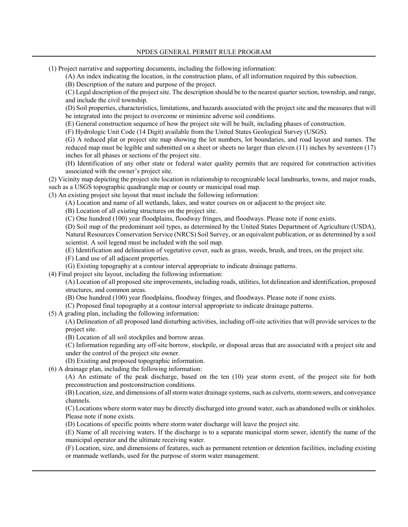(1) Project narrative and supporting documents, including the following information:

(A) An index indicating the location, in the construction plans, of all information required by this subsection.

(B) Description of the nature and purpose of the project.

(C) Legal description of the project site. The description should be to the nearest quarter section, township, and range, and include the civil township.

(D) Soil properties, characteristics, limitations, and hazards associated with the project site and the measures that will be integrated into the project to overcome or minimize adverse soil conditions.

(E) General construction sequence of how the project site will be built, including phases of construction.

(F) Hydrologic Unit Code (14 Digit) available from the United States Geological Survey (USGS).

(G) A reduced plat or project site map showing the lot numbers, lot boundaries, and road layout and names. The reduced map must be legible and submitted on a sheet or sheets no larger than eleven (11) inches by seventeen (17) inches for all phases or sections of the project site.

(H) Identification of any other state or federal water quality permits that are required for construction activities associated with the owner's project site.

(2) Vicinity map depicting the project site location in relationship to recognizable local landmarks, towns, and major roads, such as a USGS topographic quadrangle map or county or municipal road map.

(3) An existing project site layout that must include the following information:

(A) Location and name of all wetlands, lakes, and water courses on or adjacent to the project site.

(B) Location of all existing structures on the project site.

(C) One hundred (100) year floodplains, floodway fringes, and floodways. Please note if none exists.

(D) Soil map of the predominant soil types, as determined by the United States Department of Agriculture (USDA), Natural Resources Conservation Service (NRCS) Soil Survey, or an equivalent publication, or as determined by a soil scientist. A soil legend must be included with the soil map.

(E) Identification and delineation of vegetative cover, such as grass, weeds, brush, and trees, on the project site.

(F) Land use of all adjacent properties.

(G) Existing topography at a contour interval appropriate to indicate drainage patterns.

(4) Final project site layout, including the following information:

(A) Location of all proposed site improvements, including roads, utilities, lot delineation and identification, proposed structures, and common areas.

(B) One hundred (100) year floodplains, floodway fringes, and floodways. Please note if none exists.

(C) Proposed final topography at a contour interval appropriate to indicate drainage patterns.

(5) A grading plan, including the following information:

(A) Delineation of all proposed land disturbing activities, including off-site activities that will provide services to the project site.

(B) Location of all soil stockpiles and borrow areas.

(C) Information regarding any off-site borrow, stockpile, or disposal areas that are associated with a project site and under the control of the project site owner.

(D) Existing and proposed topographic information.

(6) A drainage plan, including the following information:

(A) An estimate of the peak discharge, based on the ten (10) year storm event, of the project site for both preconstruction and postconstruction conditions.

(B) Location, size, and dimensions of all storm water drainage systems, such as culverts, storm sewers, and conveyance channels.

(C) Locations where storm water may be directly discharged into ground water, such as abandoned wells or sinkholes. Please note if none exists.

(D) Locations of specific points where storm water discharge will leave the project site.

(E) Name of all receiving waters. If the discharge is to a separate municipal storm sewer, identify the name of the municipal operator and the ultimate receiving water.

(F) Location, size, and dimensions of features, such as permanent retention or detention facilities, including existing or manmade wetlands, used for the purpose of storm water management.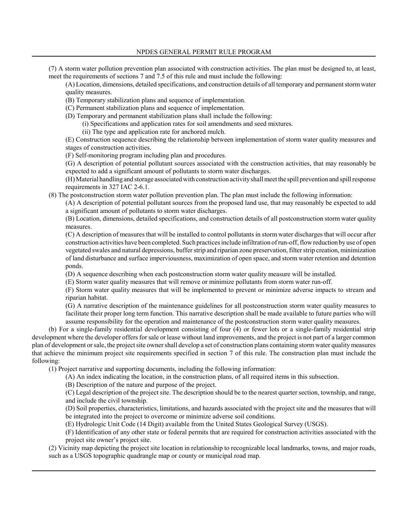(7) A storm water pollution prevention plan associated with construction activities. The plan must be designed to, at least, meet the requirements of sections 7 and 7.5 of this rule and must include the following:

(A) Location, dimensions, detailed specifications, and construction details of all temporary and permanent storm water quality measures.

(B) Temporary stabilization plans and sequence of implementation.

(C) Permanent stabilization plans and sequence of implementation.

(D) Temporary and permanent stabilization plans shall include the following:

(i) Specifications and application rates for soil amendments and seed mixtures.

(ii) The type and application rate for anchored mulch.

(E) Construction sequence describing the relationship between implementation of storm water quality measures and stages of construction activities.

(F) Self-monitoring program including plan and procedures.

(G) A description of potential pollutant sources associated with the construction activities, that may reasonably be expected to add a significant amount of pollutants to storm water discharges.

(H) Material handling and storage associated with construction activity shall meet the spill prevention and spill response requirements in 327 IAC 2-6.1.

(8) The postconstruction storm water pollution prevention plan. The plan must include the following information:

(A) A description of potential pollutant sources from the proposed land use, that may reasonably be expected to add a significant amount of pollutants to storm water discharges.

(B) Location, dimensions, detailed specifications, and construction details of all postconstruction storm water quality measures.

(C) A description of measures that will be installed to control pollutants in storm water discharges that will occur after construction activities have been completed. Such practices include infiltration of run-off, flow reduction by use of open vegetated swales and natural depressions, buffer strip and riparian zone preservation, filter strip creation, minimization of land disturbance and surface imperviousness, maximization of open space, and storm water retention and detention ponds.

(D) A sequence describing when each postconstruction storm water quality measure will be installed.

(E) Storm water quality measures that will remove or minimize pollutants from storm water run-off.

(F) Storm water quality measures that will be implemented to prevent or minimize adverse impacts to stream and riparian habitat.

(G) A narrative description of the maintenance guidelines for all postconstruction storm water quality measures to facilitate their proper long term function. This narrative description shall be made available to future parties who will assume responsibility for the operation and maintenance of the postconstruction storm water quality measures.

(b) For a single-family residential development consisting of four (4) or fewer lots or a single-family residential strip development where the developer offers for sale or lease without land improvements, and the project is not part of a larger common plan of development or sale, the project site owner shall develop a set of construction plans containing storm water quality measures that achieve the minimum project site requirements specified in section 7 of this rule. The construction plan must include the following:

(1) Project narrative and supporting documents, including the following information:

(A) An index indicating the location, in the construction plans, of all required items in this subsection.

(B) Description of the nature and purpose of the project.

(C) Legal description of the project site. The description should be to the nearest quarter section, township, and range, and include the civil township.

(D) Soil properties, characteristics, limitations, and hazards associated with the project site and the measures that will be integrated into the project to overcome or minimize adverse soil conditions.

(E) Hydrologic Unit Code (14 Digit) available from the United States Geological Survey (USGS).

(F) Identification of any other state or federal permits that are required for construction activities associated with the project site owner's project site.

(2) Vicinity map depicting the project site location in relationship to recognizable local landmarks, towns, and major roads, such as a USGS topographic quadrangle map or county or municipal road map.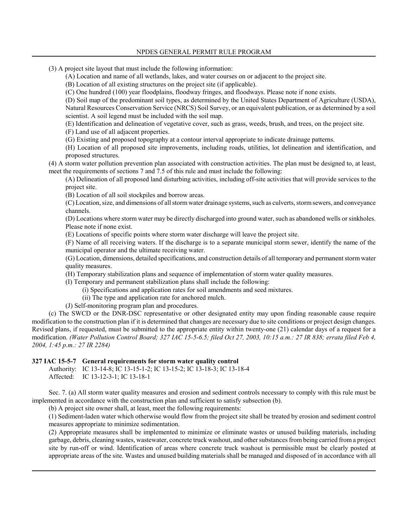- (3) A project site layout that must include the following information:
	- (A) Location and name of all wetlands, lakes, and water courses on or adjacent to the project site.
	- (B) Location of all existing structures on the project site (if applicable).

(C) One hundred (100) year floodplains, floodway fringes, and floodways. Please note if none exists.

(D) Soil map of the predominant soil types, as determined by the United States Department of Agriculture (USDA), Natural Resources Conservation Service (NRCS) Soil Survey, or an equivalent publication, or as determined by a soil scientist. A soil legend must be included with the soil map.

(E) Identification and delineation of vegetative cover, such as grass, weeds, brush, and trees, on the project site.

(F) Land use of all adjacent properties.

(G) Existing and proposed topography at a contour interval appropriate to indicate drainage patterns.

(H) Location of all proposed site improvements, including roads, utilities, lot delineation and identification, and proposed structures.

(4) A storm water pollution prevention plan associated with construction activities. The plan must be designed to, at least, meet the requirements of sections 7 and 7.5 of this rule and must include the following:

(A) Delineation of all proposed land disturbing activities, including off-site activities that will provide services to the project site.

(B) Location of all soil stockpiles and borrow areas.

(C) Location, size, and dimensions of all storm water drainage systems, such as culverts, storm sewers, and conveyance channels.

(D) Locations where storm water may be directly discharged into ground water, such as abandoned wells or sinkholes. Please note if none exist.

(E) Locations of specific points where storm water discharge will leave the project site.

(F) Name of all receiving waters. If the discharge is to a separate municipal storm sewer, identify the name of the municipal operator and the ultimate receiving water.

(G) Location, dimensions, detailed specifications, and construction details of all temporary and permanent storm water quality measures.

(H) Temporary stabilization plans and sequence of implementation of storm water quality measures.

(I) Temporary and permanent stabilization plans shall include the following:

- (i) Specifications and application rates for soil amendments and seed mixtures.
- (ii) The type and application rate for anchored mulch.

(J) Self-monitoring program plan and procedures.

(c) The SWCD or the DNR-DSC representative or other designated entity may upon finding reasonable cause require modification to the construction plan if it is determined that changes are necessary due to site conditions or project design changes. Revised plans, if requested, must be submitted to the appropriate entity within twenty-one (21) calendar days of a request for a modification. *(Water Pollution Control Board; 327 IAC 15-5-6.5; filed Oct 27, 2003, 10:15 a.m.: 27 IR 838; errata filed Feb 4, 2004, 1:45 p.m.: 27 IR 2284)*

#### **327 IAC 15-5-7 General requirements for storm water quality control**

Authority: IC 13-14-8; IC 13-15-1-2; IC 13-15-2; IC 13-18-3; IC 13-18-4 Affected: IC 13-12-3-1; IC 13-18-1

Sec. 7. (a) All storm water quality measures and erosion and sediment controls necessary to comply with this rule must be implemented in accordance with the construction plan and sufficient to satisfy subsection (b).

(b) A project site owner shall, at least, meet the following requirements:

(1) Sediment-laden water which otherwise would flow from the project site shall be treated by erosion and sediment control measures appropriate to minimize sedimentation.

(2) Appropriate measures shall be implemented to minimize or eliminate wastes or unused building materials, including garbage, debris, cleaning wastes, wastewater, concrete truck washout, and other substances from being carried from a project site by run-off or wind. Identification of areas where concrete truck washout is permissible must be clearly posted at appropriate areas of the site. Wastes and unused building materials shall be managed and disposed of in accordance with all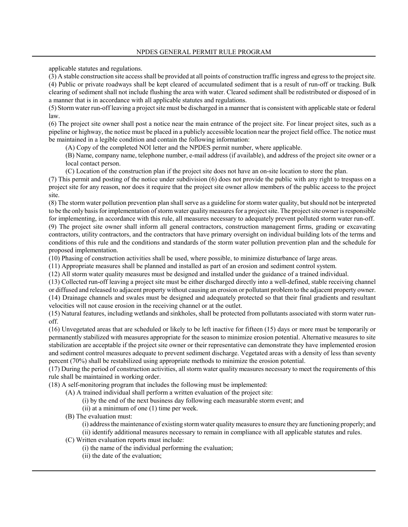applicable statutes and regulations.

(3) A stable construction site access shall be provided at all points of construction traffic ingress and egress to the project site. (4) Public or private roadways shall be kept cleared of accumulated sediment that is a result of run-off or tracking. Bulk clearing of sediment shall not include flushing the area with water. Cleared sediment shall be redistributed or disposed of in a manner that is in accordance with all applicable statutes and regulations.

(5) Storm water run-off leaving a project site must be discharged in a manner that is consistent with applicable state or federal law.

(6) The project site owner shall post a notice near the main entrance of the project site. For linear project sites, such as a pipeline or highway, the notice must be placed in a publicly accessible location near the project field office. The notice must be maintained in a legible condition and contain the following information:

(A) Copy of the completed NOI letter and the NPDES permit number, where applicable.

(B) Name, company name, telephone number, e-mail address (if available), and address of the project site owner or a local contact person.

(C) Location of the construction plan if the project site does not have an on-site location to store the plan.

(7) This permit and posting of the notice under subdivision (6) does not provide the public with any right to trespass on a project site for any reason, nor does it require that the project site owner allow members of the public access to the project site.

(8) The storm water pollution prevention plan shall serve as a guideline for storm water quality, but should not be interpreted to be the only basis for implementation of storm water quality measures for a project site. The project site owner is responsible for implementing, in accordance with this rule, all measures necessary to adequately prevent polluted storm water run-off. (9) The project site owner shall inform all general contractors, construction management firms, grading or excavating contractors, utility contractors, and the contractors that have primary oversight on individual building lots of the terms and conditions of this rule and the conditions and standards of the storm water pollution prevention plan and the schedule for proposed implementation.

(10) Phasing of construction activities shall be used, where possible, to minimize disturbance of large areas.

(11) Appropriate measures shall be planned and installed as part of an erosion and sediment control system.

(12) All storm water quality measures must be designed and installed under the guidance of a trained individual.

(13) Collected run-off leaving a project site must be either discharged directly into a well-defined, stable receiving channel or diffused and released to adjacent property without causing an erosion or pollutant problem to the adjacent property owner.

(14) Drainage channels and swales must be designed and adequately protected so that their final gradients and resultant velocities will not cause erosion in the receiving channel or at the outlet.

(15) Natural features, including wetlands and sinkholes, shall be protected from pollutants associated with storm water runoff.

(16) Unvegetated areas that are scheduled or likely to be left inactive for fifteen (15) days or more must be temporarily or permanently stabilized with measures appropriate for the season to minimize erosion potential. Alternative measures to site stabilization are acceptable if the project site owner or their representative can demonstrate they have implemented erosion and sediment control measures adequate to prevent sediment discharge. Vegetated areas with a density of less than seventy percent (70%) shall be restabilized using appropriate methods to minimize the erosion potential.

(17) During the period of construction activities, all storm water quality measures necessary to meet the requirements of this rule shall be maintained in working order.

(18) A self-monitoring program that includes the following must be implemented:

(A) A trained individual shall perform a written evaluation of the project site:

- (i) by the end of the next business day following each measurable storm event; and
- (ii) at a minimum of one (1) time per week.
- (B) The evaluation must:

(i) address the maintenance of existing storm water quality measures to ensure they are functioning properly; and (ii) identify additional measures necessary to remain in compliance with all applicable statutes and rules.

- (C) Written evaluation reports must include:
	- (i) the name of the individual performing the evaluation;
	- (ii) the date of the evaluation;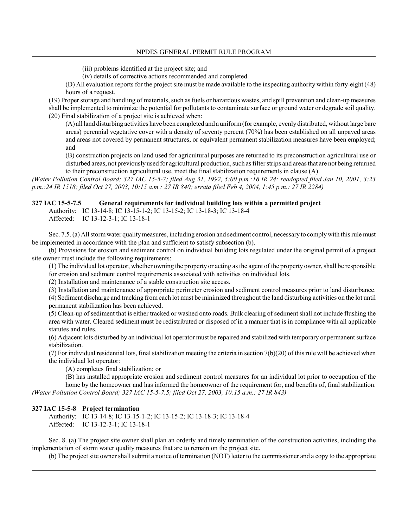- (iii) problems identified at the project site; and
- (iv) details of corrective actions recommended and completed.

(D) All evaluation reports for the project site must be made available to the inspecting authority within forty-eight (48) hours of a request.

(19) Proper storage and handling of materials, such as fuels or hazardous wastes, and spill prevention and clean-up measures shall be implemented to minimize the potential for pollutants to contaminate surface or ground water or degrade soil quality. (20) Final stabilization of a project site is achieved when:

(A) all land disturbing activities have been completed and a uniform (for example, evenly distributed, without large bare areas) perennial vegetative cover with a density of seventy percent (70%) has been established on all unpaved areas and areas not covered by permanent structures, or equivalent permanent stabilization measures have been employed; and

(B) construction projects on land used for agricultural purposes are returned to its preconstruction agricultural use or disturbed areas, not previously used for agricultural production, such as filter strips and areas that are not being returned to their preconstruction agricultural use, meet the final stabilization requirements in clause (A).

*(Water Pollution Control Board; 327 IAC 15-5-7; filed Aug 31, 1992, 5:00 p.m.:16 IR 24; readopted filed Jan 10, 2001, 3:23 p.m.:24 IR 1518; filed Oct 27, 2003, 10:15 a.m.: 27 IR 840; errata filed Feb 4, 2004, 1:45 p.m.: 27 IR 2284)*

# **327 IAC 15-5-7.5 General requirements for individual building lots within a permitted project**

Authority: IC 13-14-8; IC 13-15-1-2; IC 13-15-2; IC 13-18-3; IC 13-18-4

Affected: IC 13-12-3-1; IC 13-18-1

Sec. 7.5. (a) All storm water quality measures, including erosion and sediment control, necessary to comply with this rule must be implemented in accordance with the plan and sufficient to satisfy subsection (b).

(b) Provisions for erosion and sediment control on individual building lots regulated under the original permit of a project site owner must include the following requirements:

(1) The individual lot operator, whether owning the property or acting as the agent of the property owner, shall be responsible

for erosion and sediment control requirements associated with activities on individual lots.

(2) Installation and maintenance of a stable construction site access.

(3) Installation and maintenance of appropriate perimeter erosion and sediment control measures prior to land disturbance.

(4) Sediment discharge and tracking from each lot must be minimized throughout the land disturbing activities on the lot until permanent stabilization has been achieved.

(5) Clean-up of sediment that is either tracked or washed onto roads. Bulk clearing of sediment shall not include flushing the area with water. Cleared sediment must be redistributed or disposed of in a manner that is in compliance with all applicable statutes and rules.

(6) Adjacent lots disturbed by an individual lot operator must be repaired and stabilized with temporary or permanent surface stabilization.

(7) For individual residential lots, final stabilization meeting the criteria in section  $7(b)(20)$  of this rule will be achieved when the individual lot operator:

(A) completes final stabilization; or

(B) has installed appropriate erosion and sediment control measures for an individual lot prior to occupation of the home by the homeowner and has informed the homeowner of the requirement for, and benefits of, final stabilization. *(Water Pollution Control Board; 327 IAC 15-5-7.5; filed Oct 27, 2003, 10:15 a.m.: 27 IR 843)*

#### **327 IAC 15-5-8 Project termination**

Authority: IC 13-14-8; IC 13-15-1-2; IC 13-15-2; IC 13-18-3; IC 13-18-4 Affected: IC 13-12-3-1; IC 13-18-1

Sec. 8. (a) The project site owner shall plan an orderly and timely termination of the construction activities, including the implementation of storm water quality measures that are to remain on the project site.

(b) The project site owner shall submit a notice of termination (NOT) letter to the commissioner and a copy to the appropriate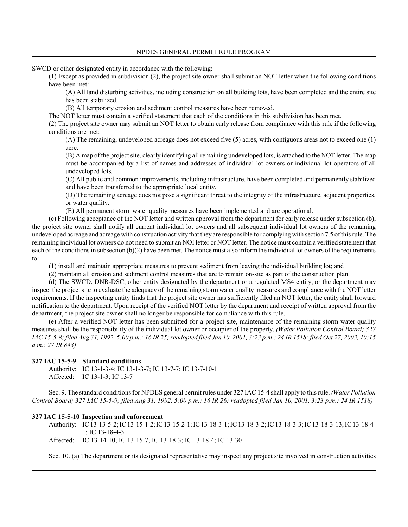SWCD or other designated entity in accordance with the following:

(1) Except as provided in subdivision (2), the project site owner shall submit an NOT letter when the following conditions have been met:

(A) All land disturbing activities, including construction on all building lots, have been completed and the entire site has been stabilized.

(B) All temporary erosion and sediment control measures have been removed.

The NOT letter must contain a verified statement that each of the conditions in this subdivision has been met.

(2) The project site owner may submit an NOT letter to obtain early release from compliance with this rule if the following conditions are met:

(A) The remaining, undeveloped acreage does not exceed five (5) acres, with contiguous areas not to exceed one (1) acre.

(B) A map of the project site, clearly identifying all remaining undeveloped lots, is attached to the NOT letter. The map must be accompanied by a list of names and addresses of individual lot owners or individual lot operators of all undeveloped lots.

(C) All public and common improvements, including infrastructure, have been completed and permanently stabilized and have been transferred to the appropriate local entity.

(D) The remaining acreage does not pose a significant threat to the integrity of the infrastructure, adjacent properties, or water quality.

(E) All permanent storm water quality measures have been implemented and are operational.

(c) Following acceptance of the NOT letter and written approval from the department for early release under subsection (b), the project site owner shall notify all current individual lot owners and all subsequent individual lot owners of the remaining undeveloped acreage and acreage with construction activity that they are responsible for complying with section 7.5 of this rule. The remaining individual lot owners do not need to submit an NOI letter or NOT letter. The notice must contain a verified statement that each of the conditions in subsection (b)(2) have been met. The notice must also inform the individual lot owners of the requirements to:

(1) install and maintain appropriate measures to prevent sediment from leaving the individual building lot; and

(2) maintain all erosion and sediment control measures that are to remain on-site as part of the construction plan.

(d) The SWCD, DNR-DSC, other entity designated by the department or a regulated MS4 entity, or the department may inspect the project site to evaluate the adequacy of the remaining storm water quality measures and compliance with the NOT letter requirements. If the inspecting entity finds that the project site owner has sufficiently filed an NOT letter, the entity shall forward notification to the department. Upon receipt of the verified NOT letter by the department and receipt of written approval from the department, the project site owner shall no longer be responsible for compliance with this rule.

(e) After a verified NOT letter has been submitted for a project site, maintenance of the remaining storm water quality measures shall be the responsibility of the individual lot owner or occupier of the property. *(Water Pollution Control Board; 327 IAC 15-5-8; filed Aug 31, 1992, 5:00 p.m.: 16 IR 25; readopted filed Jan 10, 2001, 3:23 p.m.: 24 IR 1518; filed Oct 27, 2003, 10:15 a.m.: 27 IR 843)*

#### **327 IAC 15-5-9 Standard conditions**

Authority: IC 13-1-3-4; IC 13-1-3-7; IC 13-7-7; IC 13-7-10-1 Affected: IC 13-1-3; IC 13-7

Sec. 9. The standard conditions for NPDES general permit rules under 327 IAC 15-4 shall apply to this rule. *(Water Pollution Control Board; 327 IAC 15-5-9; filed Aug 31, 1992, 5:00 p.m.: 16 IR 26; readopted filed Jan 10, 2001, 3:23 p.m.: 24 IR 1518)*

#### **327 IAC 15-5-10 Inspection and enforcement**

Authority: IC 13-13-5-2; IC 13-15-1-2; IC 13-15-2-1; IC 13-18-3-1; IC 13-18-3-2; IC 13-18-3-3; IC 13-18-3-13; IC 13-18-4- 1; IC 13-18-4-3

Affected: IC 13-14-10; IC 13-15-7; IC 13-18-3; IC 13-18-4; IC 13-30

Sec. 10. (a) The department or its designated representative may inspect any project site involved in construction activities